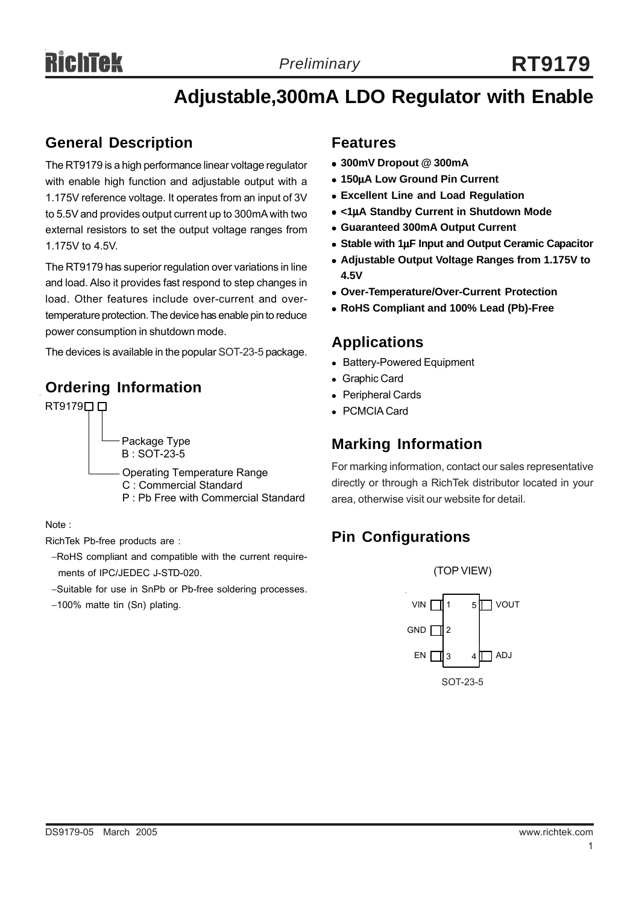# **Adjustable,300mA LDO Regulator with Enable**

# **General Description**

The RT9179 is a high performance linear voltage regulator with enable high function and adjustable output with a 1.175V reference voltage. It operates from an input of 3V to 5.5V and provides output current up to 300mA with two external resistors to set the output voltage ranges from 1.175V to 4.5V.

The RT9179 has superior regulation over variations in line and load. Also it provides fast respond to step changes in load. Other features include over-current and overtemperature protection. The device has enable pin to reduce power consumption in shutdown mode.

The devices is available in the popular SOT-23-5 package. **Applications**

# **Ordering Information**



Note :

RichTek Pb-free products are :

- −RoHS compliant and compatible with the current require ments of IPC/JEDEC J-STD-020.
- −Suitable for use in SnPb or Pb-free soldering processes.
- −100% matte tin (Sn) plating.

### **Features**

- <sup>z</sup> **300mV Dropout @ 300mA**
- <sup>z</sup> **150**μ**A Low Ground Pin Current**
- **Excellent Line and Load Regulation**
- <sup>z</sup> **<1**μ**A Standby Current in Shutdown Mode**
- <sup>z</sup> **Guaranteed 300mA Output Current**
- **Stable with 1uF Input and Output Ceramic Capacitor**
- <sup>z</sup> **Adjustable Output Voltage Ranges from 1.175V to 4.5V**
- <sup>z</sup> **Over-Temperature/Over-Current Protection**
- <sup>z</sup> **RoHS Compliant and 100% Lead (Pb)-Free**

- Battery-Powered Equipment
- Graphic Card
- Peripheral Cards
- <sup>z</sup> PCMCIA Card

# **Marking Information**

For marking information, contact our sales representative directly or through a RichTek distributor located in your area, otherwise visit our website for detail.

# **Pin Configurations**

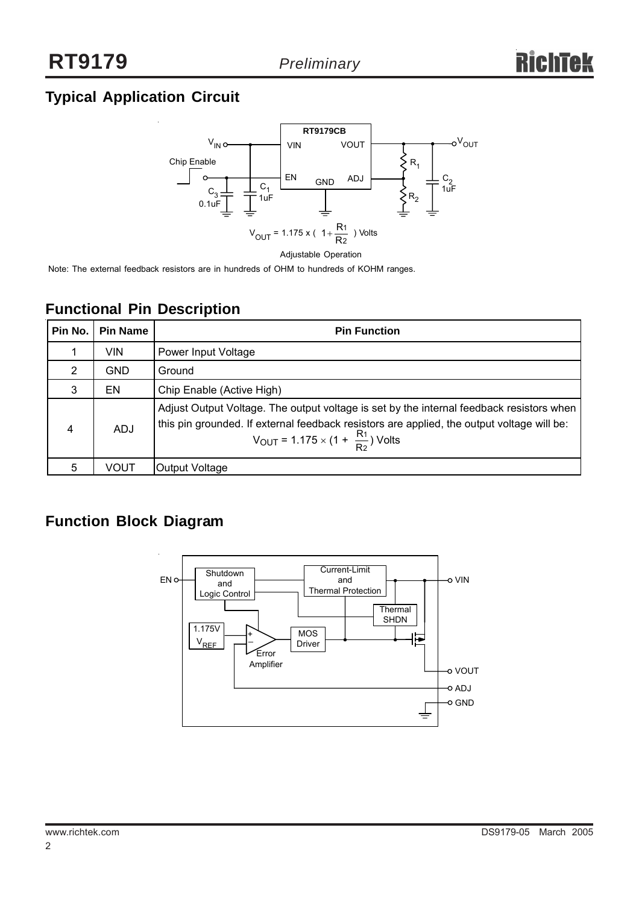# **Typical Application Circuit**



Note: The external feedback resistors are in hundreds of OHM to hundreds of KOHM ranges.

| Pin No. | <b>Pin Name</b> | <b>Pin Function</b>                                                                                                                                                                                                                                   |
|---------|-----------------|-------------------------------------------------------------------------------------------------------------------------------------------------------------------------------------------------------------------------------------------------------|
|         | VIN             | Power Input Voltage                                                                                                                                                                                                                                   |
| 2       | <b>GND</b>      | Ground                                                                                                                                                                                                                                                |
| 3       | EN              | Chip Enable (Active High)                                                                                                                                                                                                                             |
| 4       | <b>ADJ</b>      | Adjust Output Voltage. The output voltage is set by the internal feedback resistors when<br>this pin grounded. If external feedback resistors are applied, the output voltage will be:<br>$V_{\text{OUT}} = 1.175 \times (1 + \frac{R_1}{R_2})$ Volts |
| 5       | VOUT            | Output Voltage                                                                                                                                                                                                                                        |

# **Functional Pin Description**

# **Function Block Diagram**

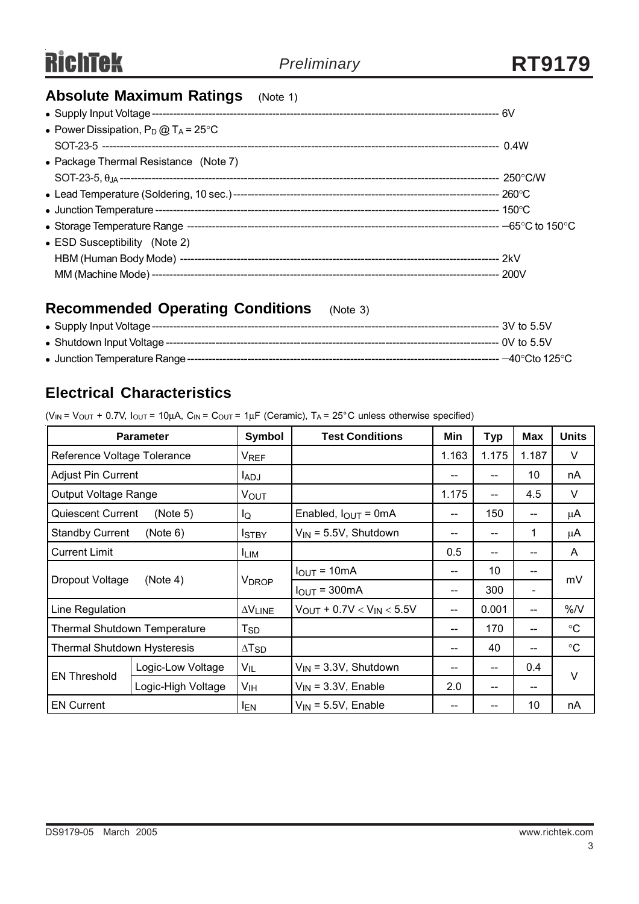# **Absolute Maximum Ratings** (Note 1)

| • Power Dissipation, $P_D @ T_A = 25^{\circ}C$ |  |
|------------------------------------------------|--|
|                                                |  |
| • Package Thermal Resistance (Note 7)          |  |
|                                                |  |
|                                                |  |
|                                                |  |
|                                                |  |
| • ESD Susceptibility (Note 2)                  |  |
|                                                |  |
|                                                |  |

# **Recommended Operating Conditions** (Note 3)

| • Supply Input Voltage ----       | $-3V$ to 5.5V                      |
|-----------------------------------|------------------------------------|
| • Shutdown Input Voltage ----     | --- 0V to 5.5V                     |
| • Junction Temperature Range ---- | $-40^{\circ}$ Cto 125 $^{\circ}$ C |

# **Electrical Characteristics**

( $V_{IN}$  =  $V_{OUT}$  + 0.7V,  $I_{OUT}$  = 10µA,  $C_{IN}$  =  $C_{OUT}$  = 1µF (Ceramic),  $T_A$  = 25°C unless otherwise specified)

|                             | <b>Parameter</b>                                                        | Symbol                  | <b>Test Conditions</b>                         | Min               | <b>Typ</b> | <b>Max</b>               | <b>Units</b> |  |
|-----------------------------|-------------------------------------------------------------------------|-------------------------|------------------------------------------------|-------------------|------------|--------------------------|--------------|--|
| Reference Voltage Tolerance |                                                                         | <b>VREF</b>             |                                                | 1.163             | 1.175      | 1.187                    | V            |  |
| <b>Adjust Pin Current</b>   |                                                                         | <b>IADJ</b>             |                                                | --                |            | 10                       | nA           |  |
| Output Voltage Range        |                                                                         | VOUT                    |                                                | 1.175             |            | 4.5                      | V            |  |
| <b>Quiescent Current</b>    | (Note 5)                                                                | IQ                      | Enabled, $I_{\text{OUT}} = 0 \text{mA}$        | --                | 150        | $-$                      | μA           |  |
| <b>Standby Current</b>      | (Note 6)                                                                | <b>I</b> STBY           | $V_{IN}$ = 5.5V, Shutdown                      | --                |            | 1                        | μA           |  |
| <b>Current Limit</b>        |                                                                         | <b>ILIM</b>             |                                                | 0.5               |            | --                       | A            |  |
|                             |                                                                         |                         | $I_{OUT} = 10mA$                               | --                | 10         | --                       | mV           |  |
| Dropout Voltage             | (Note 4)                                                                | <b>V<sub>DROP</sub></b> | $IOUT = 300mA$                                 | 300<br>--         |            | $\overline{\phantom{a}}$ |              |  |
| Line Regulation             |                                                                         | $\Delta V$ LINE         | $V_{\text{OUT}} + 0.7V < V_{\text{IN}} < 5.5V$ |                   | 0.001      | $-$                      | %N           |  |
|                             | Thermal Shutdown Temperature<br>170<br>T <sub>SD</sub><br>--            |                         | $-$                                            | $^\circ \text{C}$ |            |                          |              |  |
|                             | Thermal Shutdown Hysteresis<br>40<br>$\Delta$ T <sub>SD</sub><br>--     |                         | --                                             | $^\circ \text{C}$ |            |                          |              |  |
|                             | Logic-Low Voltage                                                       | $V_{IL}$                | $V_{IN}$ = 3.3V, Shutdown                      | --                |            | 0.4                      | V            |  |
| <b>EN Threshold</b>         | Logic-High Voltage<br>V <sub>IH</sub><br>$V_{IN}$ = 3.3V, Enable<br>2.0 |                         | --                                             |                   |            |                          |              |  |
| <b>EN Current</b>           |                                                                         | <sup>I</sup> EN         | $V_{IN}$ = 5.5V, Enable                        | --                |            | 10                       | nA           |  |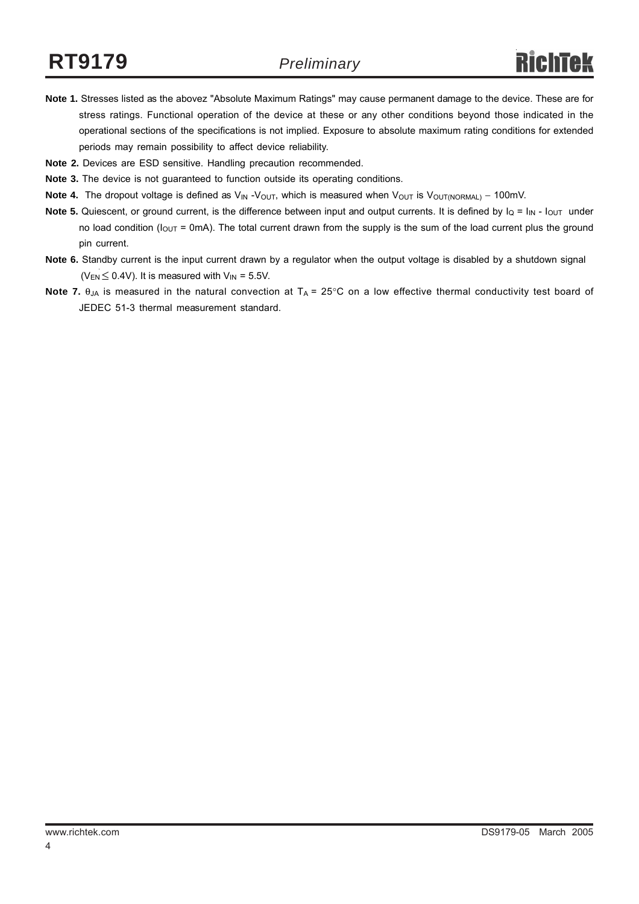- **Note 1.** Stresses listed as the abovez "Absolute Maximum Ratings" may cause permanent damage to the device. These are for stress ratings. Functional operation of the device at these or any other conditions beyond those indicated in the operational sections of the specifications is not implied. Exposure to absolute maximum rating conditions for extended periods may remain possibility to affect device reliability.
- **Note 2.** Devices are ESD sensitive. Handling precaution recommended.
- **Note 3.** The device is not guaranteed to function outside its operating conditions.
- Note 4. The dropout voltage is defined as V<sub>IN</sub> -V<sub>OUT</sub>, which is measured when V<sub>OUT</sub> is V<sub>OUT(NORMAL)</sub> 100mV.
- **Note 5.** Quiescent, or ground current, is the difference between input and output currents. It is defined by  $I_Q = I_{IN} I_{OUT}$  under no load condition ( $I_{OUT}$  = 0mA). The total current drawn from the supply is the sum of the load current plus the ground pin current.
- **Note 6.** Standby current is the input current drawn by a regulator when the output voltage is disabled by a shutdown signal ( $V_{EN} \leq 0.4V$ ). It is measured with  $V_{IN} = 5.5V$ .
- **Note 7.** θ<sub>JA</sub> is measured in the natural convection at T<sub>A</sub> = 25°C on a low effective thermal conductivity test board of JEDEC 51-3 thermal measurement standard.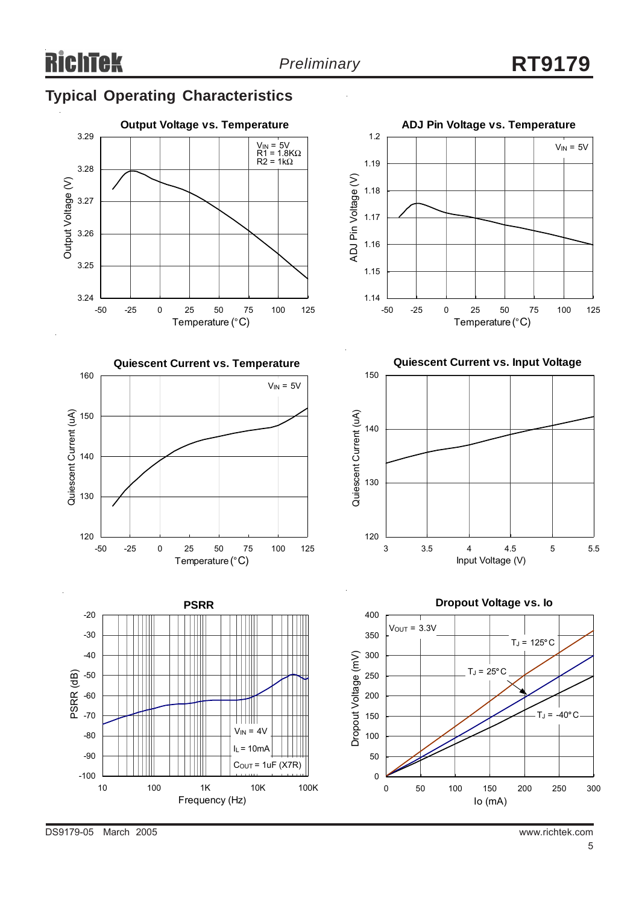1.18

1.19

1.2

 $V_{IN} = 5V$ 

# **Typical Operating Characteristics**





ADJ Pin Voltage (V) ADJ Pin Voltage (V) 1.17 1.16 1.15 1.14 -50 -25 0 25 50 75 100 125 Temperature (°C)

**ADJ Pin Voltage vs. Temperature**

**Quiescent Current vs. Input Voltage**





DS9179-05 March 2005 www.richtek.com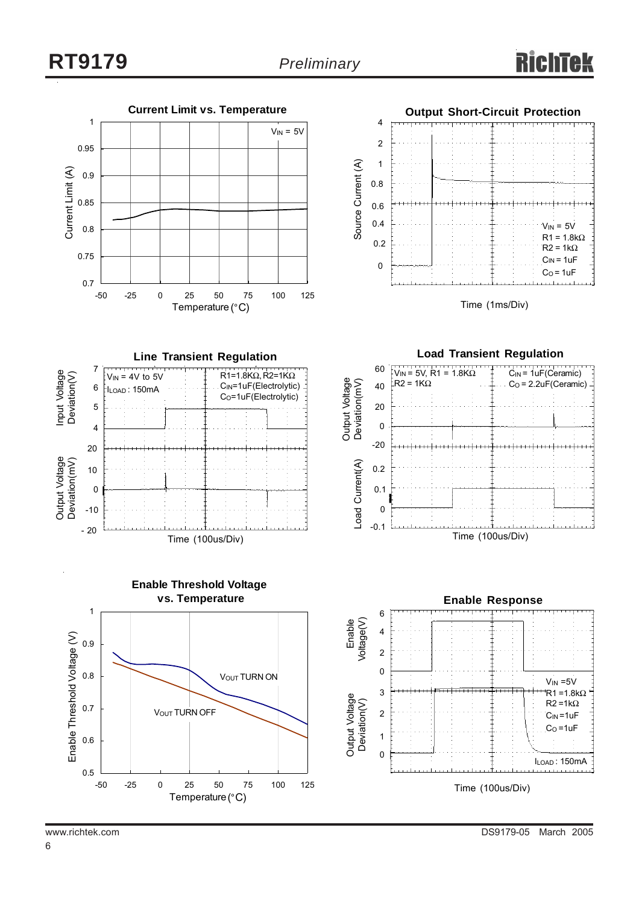



Time (1ms/Div)

**Line Transient Regulation** Input Voltage<br>Deviation(V) 7  $R1=1.8KΩ, R2=1KΩ$ Input Voltage Deviation(V)  $V_{IN}$  = 4V to 5V CIN=1uF(Electrolytic) 6 ILOAD : 150mA C<sub>O</sub>=1uF(Electrolytic) 5 4 20 Output Voltage<br>Deviation(mV) Output Voltage Deviation(mV) 10 0  $-10$ - 20 Time (100us/Div)





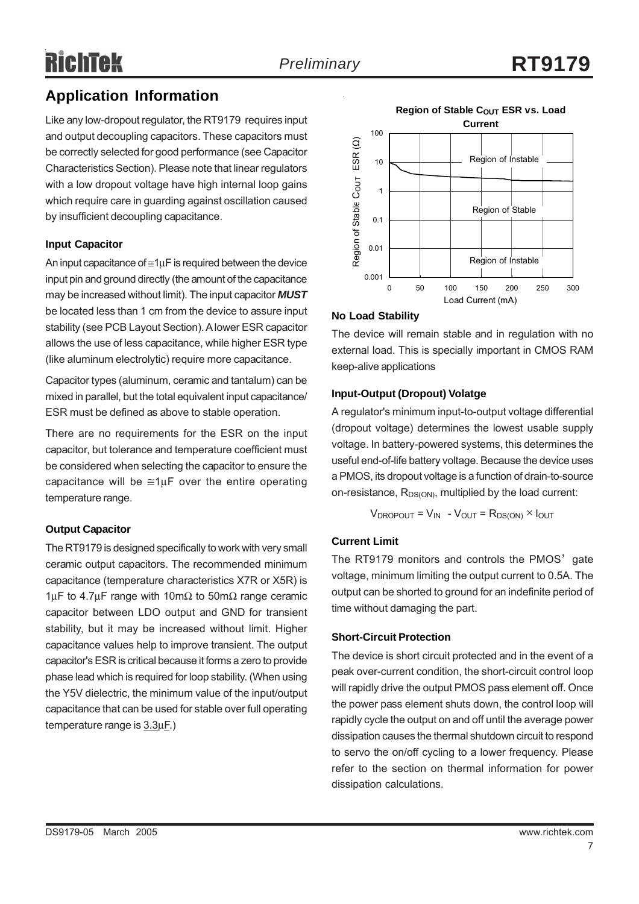# RichTek

# **Application Information**

Like any low-dropout regulator, the RT9179 requires input and output decoupling capacitors. These capacitors must be correctly selected for good performance (see Capacitor Characteristics Section). Please note that linear regulators with a low dropout voltage have high internal loop gains which require care in guarding against oscillation caused by insufficient decoupling capacitance.

#### **Input Capacitor**

An input capacitance of  $\leq 1 \mu$ F is required between the device input pin and ground directly (the amount of the capacitance may be increased without limit). The input capacitor *MUST* be located less than 1 cm from the device to assure input stability (see PCB Layout Section). A lower ESR capacitor allows the use of less capacitance, while higher ESR type (like aluminum electrolytic) require more capacitance.

Capacitor types (aluminum, ceramic and tantalum) can be mixed in parallel, but the total equivalent input capacitance/ ESR must be defined as above to stable operation.

There are no requirements for the ESR on the input capacitor, but tolerance and temperature coefficient must be considered when selecting the capacitor to ensure the capacitance will be  $\cong 1\mu$ F over the entire operating temperature range.

#### **Output Capacitor**

The RT9179 is designed specifically to work with very small ceramic output capacitors. The recommended minimum capacitance (temperature characteristics X7R or X5R) is 1μF to 4.7μF range with 10mΩ to 50mΩ range ceramic capacitor between LDO output and GND for transient stability, but it may be increased without limit. Higher capacitance values help to improve transient. The output capacitor's ESR is critical because it forms a zero to provide phase lead which is required for loop stability. (When using the Y5V dielectric, the minimum value of the input/output capacitance that can be used for stable over full operating temperature range is 3.3μF.)



### **No Load Stability**

The device will remain stable and in regulation with no external load. This is specially important in CMOS RAM keep-alive applications

### **Input-Output (Dropout) Volatge**

A regulator's minimum input-to-output voltage differential (dropout voltage) determines the lowest usable supply voltage. In battery-powered systems, this determines the useful end-of-life battery voltage. Because the device uses a PMOS, its dropout voltage is a function of drain-to-source on-resistance,  $R_{DS(ON)}$ , multiplied by the load current:

$$
V_{DROPOUT} = V_{IN} - V_{OUT} = R_{DS(ON)} \times I_{OUT}
$$

#### **Current Limit**

The RT9179 monitors and controls the PMOS' gate voltage, minimum limiting the output current to 0.5A. The output can be shorted to ground for an indefinite period of time without damaging the part.

#### **Short-Circuit Protection**

The device is short circuit protected and in the event of a peak over-current condition, the short-circuit control loop will rapidly drive the output PMOS pass element off. Once the power pass element shuts down, the control loop will rapidly cycle the output on and off until the average power dissipation causes the thermal shutdown circuit to respond to servo the on/off cycling to a lower frequency. Please refer to the section on thermal information for power dissipation calculations.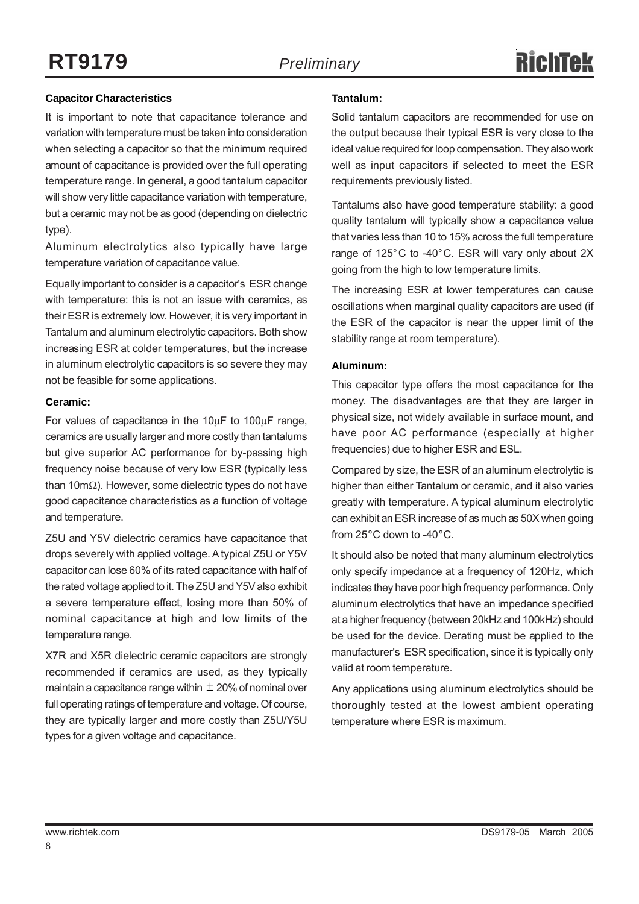#### **Capacitor Characteristics**

It is important to note that capacitance tolerance and variation with temperature must be taken into consideration when selecting a capacitor so that the minimum required amount of capacitance is provided over the full operating temperature range. In general, a good tantalum capacitor will show very little capacitance variation with temperature, but a ceramic may not be as good (depending on dielectric type).

Aluminum electrolytics also typically have large temperature variation of capacitance value.

Equally important to consider is a capacitor's ESR change with temperature: this is not an issue with ceramics, as their ESR is extremely low. However, it is very important in Tantalum and aluminum electrolytic capacitors. Both show increasing ESR at colder temperatures, but the increase in aluminum electrolytic capacitors is so severe they may not be feasible for some applications.

#### **Ceramic:**

For values of capacitance in the 10μF to 100μF range, ceramics are usually larger and more costly than tantalums but give superior AC performance for by-passing high frequency noise because of very low ESR (typically less than 10mΩ). However, some dielectric types do not have good capacitance characteristics as a function of voltage and temperature.

Z5U and Y5V dielectric ceramics have capacitance that drops severely with applied voltage. A typical Z5U or Y5V capacitor can lose 60% of its rated capacitance with half of the rated voltage applied to it. The Z5U and Y5V also exhibit a severe temperature effect, losing more than 50% of nominal capacitance at high and low limits of the temperature range.

X7R and X5R dielectric ceramic capacitors are strongly recommended if ceramics are used, as they typically maintain a capacitance range within  $\pm$  20% of nominal over full operating ratings of temperature and voltage. Of course, they are typically larger and more costly than Z5U/Y5U types for a given voltage and capacitance.

#### **Tantalum:**

Solid tantalum capacitors are recommended for use on the output because their typical ESR is very close to the ideal value required for loop compensation. They also work well as input capacitors if selected to meet the ESR requirements previously listed.

Tantalums also have good temperature stability: a good quality tantalum will typically show a capacitance value that varies less than 10 to 15% across the full temperature range of 125°C to -40°C. ESR will vary only about 2X going from the high to low temperature limits.

The increasing ESR at lower temperatures can cause oscillations when marginal quality capacitors are used (if the ESR of the capacitor is near the upper limit of the stability range at room temperature).

#### **Aluminum:**

This capacitor type offers the most capacitance for the money. The disadvantages are that they are larger in physical size, not widely available in surface mount, and have poor AC performance (especially at higher frequencies) due to higher ESR and ESL.

Compared by size, the ESR of an aluminum electrolytic is higher than either Tantalum or ceramic, and it also varies greatly with temperature. A typical aluminum electrolytic can exhibit an ESR increase of as much as 50X when going from 25°C down to -40°C.

It should also be noted that many aluminum electrolytics only specify impedance at a frequency of 120Hz, which indicates they have poor high frequency performance. Only aluminum electrolytics that have an impedance specified at a higher frequency (between 20kHz and 100kHz) should be used for the device. Derating must be applied to the manufacturer's ESR specification, since it is typically only valid at room temperature.

Any applications using aluminum electrolytics should be thoroughly tested at the lowest ambient operating temperature where ESR is maximum.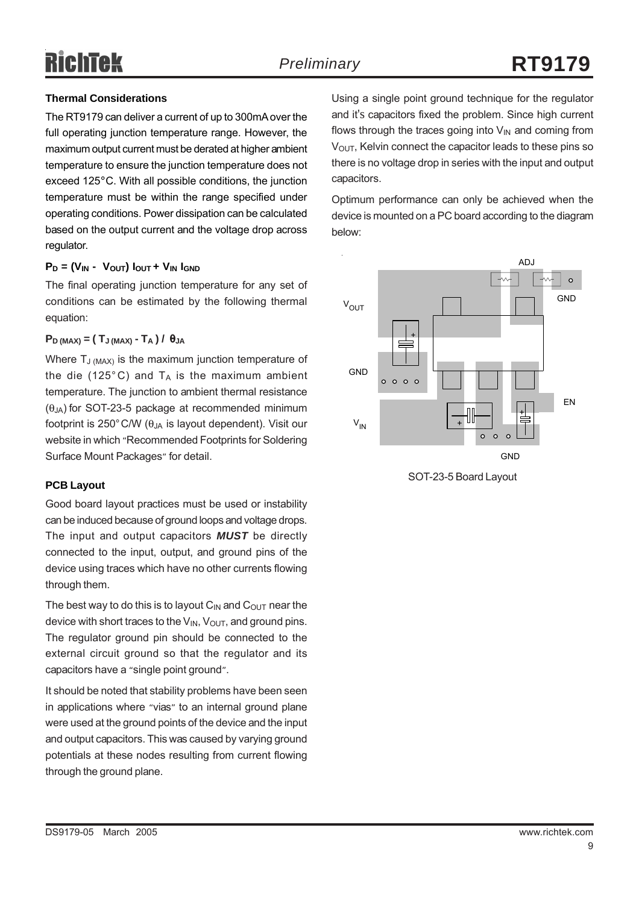#### **Thermal Considerations**

The RT9179 can deliver a current of up to 300mA over the full operating junction temperature range. However, the maximum output current must be derated at higher ambient temperature to ensure the junction temperature does not exceed 125°C. With all possible conditions, the junction temperature must be within the range specified under operating conditions. Power dissipation can be calculated based on the output current and the voltage drop across regulator.

#### $P_D = (V_{IN} - V_{OUT}) I_{OUT} + V_{IN} I_{GND}$

The final operating junction temperature for any set of conditions can be estimated by the following thermal equation:

#### $P_D$  (MAX) =  $(T_J$  (MAX) -  $T_A$ ) /  $\theta_{JA}$

Where  $T_{J (MAX)}$  is the maximum junction temperature of the die (125 $^{\circ}$ C) and T<sub>A</sub> is the maximum ambient temperature. The junction to ambient thermal resistance  $(\theta_{JA})$  for SOT-23-5 package at recommended minimum footprint is 250 $^{\circ}$ C/W ( $\theta$ <sub>JA</sub> is layout dependent). Visit our website in which "Recommended Footprints for Soldering Surface Mount Packages" for detail.

#### **PCB Layout**

Good board layout practices must be used or instability can be induced because of ground loops and voltage drops. The input and output capacitors *MUST* be directly connected to the input, output, and ground pins of the device using traces which have no other currents flowing through them.

The best way to do this is to layout  $C_{IN}$  and  $C_{OUT}$  near the device with short traces to the  $V_{\text{IN}}$ ,  $V_{\text{OUT}}$ , and ground pins. The regulator ground pin should be connected to the external circuit ground so that the regulator and its capacitors have a "single point ground".

It should be noted that stability problems have been seen in applications where "vias" to an internal ground plane were used at the ground points of the device and the input and output capacitors. This was caused by varying ground potentials at these nodes resulting from current flowing through the ground plane.

Using a single point ground technique for the regulator and it's capacitors fixed the problem. Since high current flows through the traces going into  $V_{\text{IN}}$  and coming from  $V<sub>OUT</sub>$ , Kelvin connect the capacitor leads to these pins so there is no voltage drop in series with the input and output capacitors.

Optimum performance can only be achieved when the device is mounted on a PC board according to the diagram below: